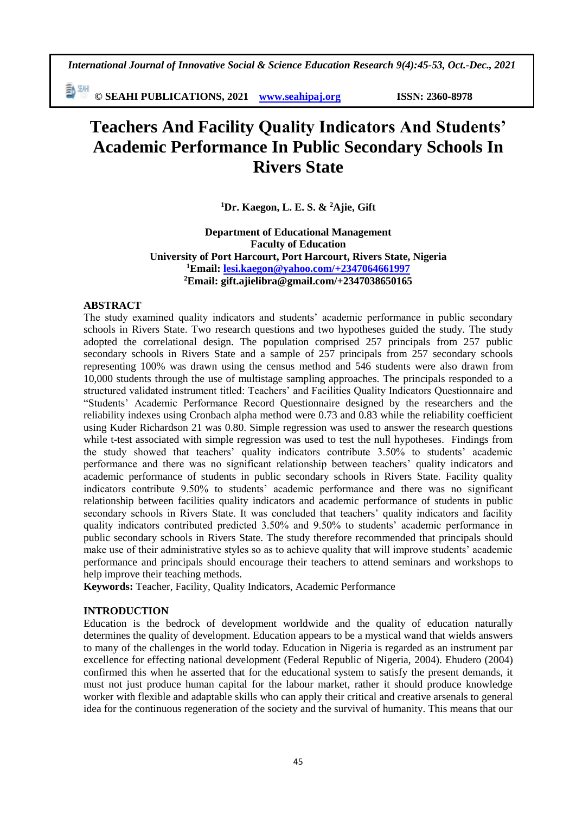*International Journal of Innovative Social & Science Education Research 9(4):45-53, Oct.-Dec., 2021*

勤卿 **© SEAHI PUBLICATIONS, 2021 [www.seahipaj.org](http://www.seahipaj.org/) ISSN: 2360-8978**

# **Teachers And Facility Quality Indicators And Students' Academic Performance In Public Secondary Schools In Rivers State**

**<sup>1</sup>Dr. Kaegon, L. E. S. & <sup>2</sup>Ajie, Gift**

**Department of Educational Management Faculty of Education University of Port Harcourt, Port Harcourt, Rivers State, Nigeria <sup>1</sup>Email: [lesi.kaegon@yahoo.com/+2347064661997](mailto:lesi.kaegon@yahoo.com/+2347064661997) <sup>2</sup>Email: [gift.ajielibra@gmail.com/+2347038650165](mailto:gift.ajielibra@gmail.com/+2347038650165)**

#### **ABSTRACT**

The study examined quality indicators and students' academic performance in public secondary schools in Rivers State. Two research questions and two hypotheses guided the study. The study adopted the correlational design. The population comprised 257 principals from 257 public secondary schools in Rivers State and a sample of 257 principals from 257 secondary schools representing 100% was drawn using the census method and 546 students were also drawn from 10,000 students through the use of multistage sampling approaches. The principals responded to a structured validated instrument titled: Teachers' and Facilities Quality Indicators Questionnaire and "Students' Academic Performance Record Questionnaire designed by the researchers and the reliability indexes using Cronbach alpha method were 0.73 and 0.83 while the reliability coefficient using Kuder Richardson 21 was 0.80. Simple regression was used to answer the research questions while t-test associated with simple regression was used to test the null hypotheses. Findings from the study showed that teachers' quality indicators contribute 3.50% to students' academic performance and there was no significant relationship between teachers' quality indicators and academic performance of students in public secondary schools in Rivers State. Facility quality indicators contribute 9.50% to students' academic performance and there was no significant relationship between facilities quality indicators and academic performance of students in public secondary schools in Rivers State. It was concluded that teachers' quality indicators and facility quality indicators contributed predicted 3.50% and 9.50% to students' academic performance in public secondary schools in Rivers State. The study therefore recommended that principals should make use of their administrative styles so as to achieve quality that will improve students' academic performance and principals should encourage their teachers to attend seminars and workshops to help improve their teaching methods.

**Keywords:** Teacher, Facility, Quality Indicators, Academic Performance

#### **INTRODUCTION**

Education is the bedrock of development worldwide and the quality of education naturally determines the quality of development. Education appears to be a mystical wand that wields answers to many of the challenges in the world today. Education in Nigeria is regarded as an instrument par excellence for effecting national development (Federal Republic of Nigeria, 2004). Ehudero (2004) confirmed this when he asserted that for the educational system to satisfy the present demands, it must not just produce human capital for the labour market, rather it should produce knowledge worker with flexible and adaptable skills who can apply their critical and creative arsenals to general idea for the continuous regeneration of the society and the survival of humanity. This means that our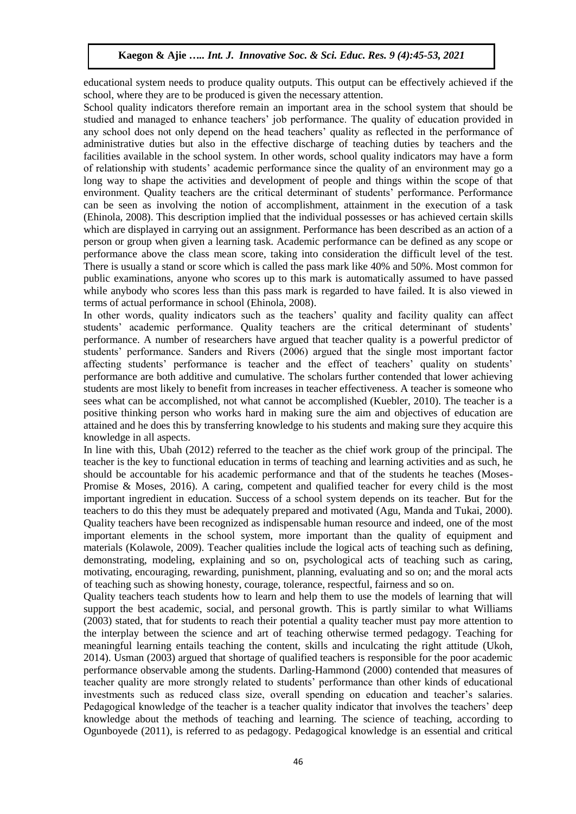educational system needs to produce quality outputs. This output can be effectively achieved if the school, where they are to be produced is given the necessary attention.

School quality indicators therefore remain an important area in the school system that should be studied and managed to enhance teachers' job performance. The quality of education provided in any school does not only depend on the head teachers' quality as reflected in the performance of administrative duties but also in the effective discharge of teaching duties by teachers and the facilities available in the school system. In other words, school quality indicators may have a form of relationship with students' academic performance since the quality of an environment may go a long way to shape the activities and development of people and things within the scope of that environment. Quality teachers are the critical determinant of students' performance. Performance can be seen as involving the notion of accomplishment, attainment in the execution of a task (Ehinola, 2008). This description implied that the individual possesses or has achieved certain skills which are displayed in carrying out an assignment. Performance has been described as an action of a person or group when given a learning task. Academic performance can be defined as any scope or performance above the class mean score, taking into consideration the difficult level of the test. There is usually a stand or score which is called the pass mark like 40% and 50%. Most common for public examinations, anyone who scores up to this mark is automatically assumed to have passed while anybody who scores less than this pass mark is regarded to have failed. It is also viewed in terms of actual performance in school (Ehinola, 2008).

In other words, quality indicators such as the teachers' quality and facility quality can affect students' academic performance. Quality teachers are the critical determinant of students' performance. A number of researchers have argued that teacher quality is a powerful predictor of students' performance. Sanders and Rivers (2006) argued that the single most important factor affecting students' performance is teacher and the effect of teachers' quality on students' performance are both additive and cumulative. The scholars further contended that lower achieving students are most likely to benefit from increases in teacher effectiveness. A teacher is someone who sees what can be accomplished, not what cannot be accomplished (Kuebler, 2010). The teacher is a positive thinking person who works hard in making sure the aim and objectives of education are attained and he does this by transferring knowledge to his students and making sure they acquire this knowledge in all aspects.

In line with this, Ubah (2012) referred to the teacher as the chief work group of the principal. The teacher is the key to functional education in terms of teaching and learning activities and as such, he should be accountable for his academic performance and that of the students he teaches (Moses-Promise & Moses, 2016). A caring, competent and qualified teacher for every child is the most important ingredient in education. Success of a school system depends on its teacher. But for the teachers to do this they must be adequately prepared and motivated (Agu, Manda and Tukai, 2000). Quality teachers have been recognized as indispensable human resource and indeed, one of the most important elements in the school system, more important than the quality of equipment and materials (Kolawole, 2009). Teacher qualities include the logical acts of teaching such as defining, demonstrating, modeling, explaining and so on, psychological acts of teaching such as caring, motivating, encouraging, rewarding, punishment, planning, evaluating and so on; and the moral acts of teaching such as showing honesty, courage, tolerance, respectful, fairness and so on.

Quality teachers teach students how to learn and help them to use the models of learning that will support the best academic, social, and personal growth. This is partly similar to what Williams (2003) stated, that for students to reach their potential a quality teacher must pay more attention to the interplay between the science and art of teaching otherwise termed pedagogy. Teaching for meaningful learning entails teaching the content, skills and inculcating the right attitude (Ukoh, 2014). Usman (2003) argued that shortage of qualified teachers is responsible for the poor academic performance observable among the students. Darling-Hammond (2000) contended that measures of teacher quality are more strongly related to students' performance than other kinds of educational investments such as reduced class size, overall spending on education and teacher's salaries. Pedagogical knowledge of the teacher is a teacher quality indicator that involves the teachers' deep knowledge about the methods of teaching and learning. The science of teaching, according to Ogunboyede (2011), is referred to as pedagogy. Pedagogical knowledge is an essential and critical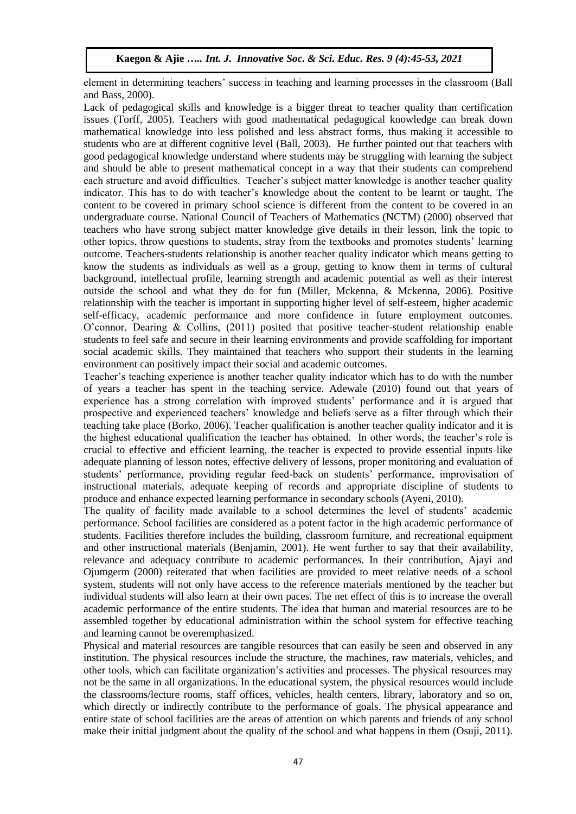element in determining teachers' success in teaching and learning processes in the classroom (Ball and Bass, 2000).

Lack of pedagogical skills and knowledge is a bigger threat to teacher quality than certification issues (Torff, 2005). Teachers with good mathematical pedagogical knowledge can break down mathematical knowledge into less polished and less abstract forms, thus making it accessible to students who are at different cognitive level (Ball, 2003). He further pointed out that teachers with good pedagogical knowledge understand where students may be struggling with learning the subject and should be able to present mathematical concept in a way that their students can comprehend each structure and avoid difficulties. Teacher's subject matter knowledge is another teacher quality indicator. This has to do with teacher's knowledge about the content to be learnt or taught. The content to be covered in primary school science is different from the content to be covered in an undergraduate course. National Council of Teachers of Mathematics (NCTM) (2000) observed that teachers who have strong subject matter knowledge give details in their lesson, link the topic to other topics, throw questions to students, stray from the textbooks and promotes students' learning outcome. Teachers-students relationship is another teacher quality indicator which means getting to know the students as individuals as well as a group, getting to know them in terms of cultural background, intellectual profile, learning strength and academic potential as well as their interest outside the school and what they do for fun (Miller, Mckenna, & Mckenna, 2006). Positive relationship with the teacher is important in supporting higher level of self-esteem, higher academic self-efficacy, academic performance and more confidence in future employment outcomes. O'connor, Dearing & Collins, (2011) posited that positive teacher-student relationship enable students to feel safe and secure in their learning environments and provide scaffolding for important social academic skills. They maintained that teachers who support their students in the learning environment can positively impact their social and academic outcomes.

Teacher's teaching experience is another teacher quality indicator which has to do with the number of years a teacher has spent in the teaching service. Adewale (2010) found out that years of experience has a strong correlation with improved students' performance and it is argued that prospective and experienced teachers' knowledge and beliefs serve as a filter through which their teaching take place (Borko, 2006). Teacher qualification is another teacher quality indicator and it is the highest educational qualification the teacher has obtained. In other words, the teacher's role is crucial to effective and efficient learning, the teacher is expected to provide essential inputs like adequate planning of lesson notes, effective delivery of lessons, proper monitoring and evaluation of students' performance, providing regular feed-back on students' performance, improvisation of instructional materials, adequate keeping of records and appropriate discipline of students to produce and enhance expected learning performance in secondary schools (Ayeni, 2010).

The quality of facility made available to a school determines the level of students' academic performance. School facilities are considered as a potent factor in the high academic performance of students. Facilities therefore includes the building, classroom furniture, and recreational equipment and other instructional materials (Benjamin, 2001). He went further to say that their availability, relevance and adequacy contribute to academic performances. In their contribution, Ajayi and Ojumgerm (2000) reiterated that when facilities are provided to meet relative needs of a school system, students will not only have access to the reference materials mentioned by the teacher but individual students will also learn at their own paces. The net effect of this is to increase the overall academic performance of the entire students. The idea that human and material resources are to be assembled together by educational administration within the school system for effective teaching and learning cannot be overemphasized.

Physical and material resources are tangible resources that can easily be seen and observed in any institution. The physical resources include the structure, the machines, raw materials, vehicles, and other tools, which can facilitate organization's activities and processes. The physical resources may not be the same in all organizations. In the educational system, the physical resources would include the classrooms/lecture rooms, staff offices, vehicles, health centers, library, laboratory and so on, which directly or indirectly contribute to the performance of goals. The physical appearance and entire state of school facilities are the areas of attention on which parents and friends of any school make their initial judgment about the quality of the school and what happens in them (Osuji, 2011).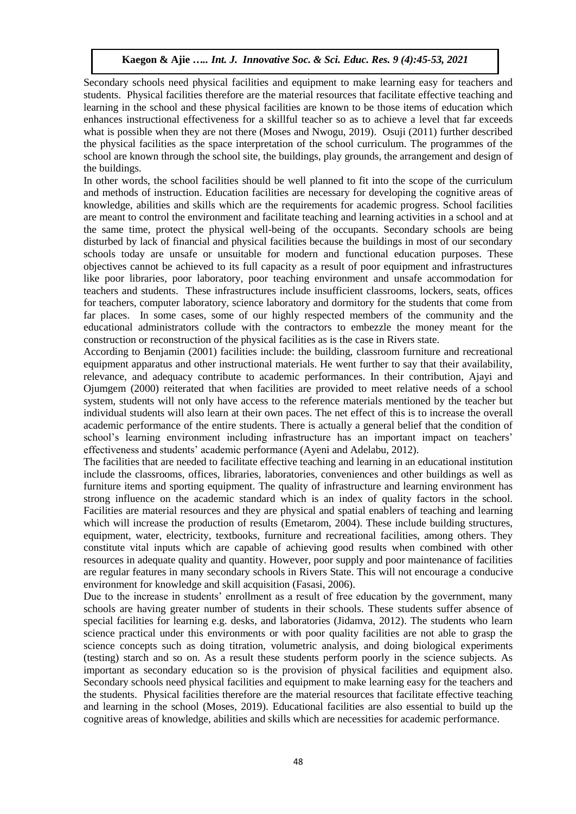Secondary schools need physical facilities and equipment to make learning easy for teachers and students. Physical facilities therefore are the material resources that facilitate effective teaching and learning in the school and these physical facilities are known to be those items of education which enhances instructional effectiveness for a skillful teacher so as to achieve a level that far exceeds what is possible when they are not there (Moses and Nwogu, 2019). Osuji (2011) further described the physical facilities as the space interpretation of the school curriculum. The programmes of the school are known through the school site, the buildings, play grounds, the arrangement and design of the buildings.

In other words, the school facilities should be well planned to fit into the scope of the curriculum and methods of instruction. Education facilities are necessary for developing the cognitive areas of knowledge, abilities and skills which are the requirements for academic progress. School facilities are meant to control the environment and facilitate teaching and learning activities in a school and at the same time, protect the physical well-being of the occupants. Secondary schools are being disturbed by lack of financial and physical facilities because the buildings in most of our secondary schools today are unsafe or unsuitable for modern and functional education purposes. These objectives cannot be achieved to its full capacity as a result of poor equipment and infrastructures like poor libraries, poor laboratory, poor teaching environment and unsafe accommodation for teachers and students. These infrastructures include insufficient classrooms, lockers, seats, offices for teachers, computer laboratory, science laboratory and dormitory for the students that come from far places. In some cases, some of our highly respected members of the community and the educational administrators collude with the contractors to embezzle the money meant for the construction or reconstruction of the physical facilities as is the case in Rivers state.

According to Benjamin (2001) facilities include: the building, classroom furniture and recreational equipment apparatus and other instructional materials. He went further to say that their availability, relevance, and adequacy contribute to academic performances. In their contribution, Ajayi and Ojumgem (2000) reiterated that when facilities are provided to meet relative needs of a school system, students will not only have access to the reference materials mentioned by the teacher but individual students will also learn at their own paces. The net effect of this is to increase the overall academic performance of the entire students. There is actually a general belief that the condition of school's learning environment including infrastructure has an important impact on teachers' effectiveness and students' academic performance (Ayeni and Adelabu, 2012).

The facilities that are needed to facilitate effective teaching and learning in an educational institution include the classrooms, offices, libraries, laboratories, conveniences and other buildings as well as furniture items and sporting equipment. The quality of infrastructure and learning environment has strong influence on the academic standard which is an index of quality factors in the school. Facilities are material resources and they are physical and spatial enablers of teaching and learning which will increase the production of results (Emetarom, 2004). These include building structures, equipment, water, electricity, textbooks, furniture and recreational facilities, among others. They constitute vital inputs which are capable of achieving good results when combined with other resources in adequate quality and quantity. However, poor supply and poor maintenance of facilities are regular features in many secondary schools in Rivers State. This will not encourage a conducive environment for knowledge and skill acquisition (Fasasi, 2006).

Due to the increase in students' enrollment as a result of free education by the government, many schools are having greater number of students in their schools. These students suffer absence of special facilities for learning e.g. desks, and laboratories (Jidamva, 2012). The students who learn science practical under this environments or with poor quality facilities are not able to grasp the science concepts such as doing titration, volumetric analysis, and doing biological experiments (testing) starch and so on. As a result these students perform poorly in the science subjects. As important as secondary education so is the provision of physical facilities and equipment also. Secondary schools need physical facilities and equipment to make learning easy for the teachers and the students. Physical facilities therefore are the material resources that facilitate effective teaching and learning in the school (Moses, 2019). Educational facilities are also essential to build up the cognitive areas of knowledge, abilities and skills which are necessities for academic performance.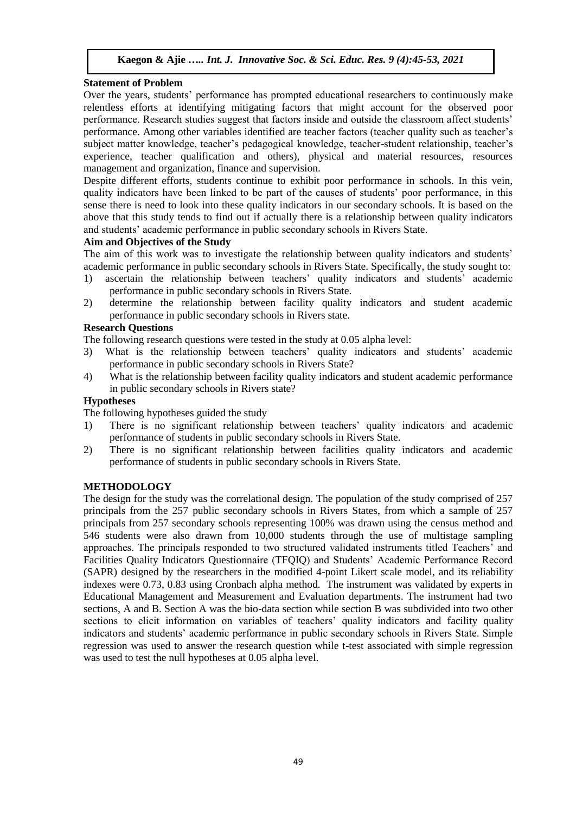## **Statement of Problem**

Over the years, students' performance has prompted educational researchers to continuously make relentless efforts at identifying mitigating factors that might account for the observed poor performance. Research studies suggest that factors inside and outside the classroom affect students' performance. Among other variables identified are teacher factors (teacher quality such as teacher's subject matter knowledge, teacher's pedagogical knowledge, teacher-student relationship, teacher's experience, teacher qualification and others), physical and material resources, resources management and organization, finance and supervision.

Despite different efforts, students continue to exhibit poor performance in schools. In this vein, quality indicators have been linked to be part of the causes of students' poor performance, in this sense there is need to look into these quality indicators in our secondary schools. It is based on the above that this study tends to find out if actually there is a relationship between quality indicators and students' academic performance in public secondary schools in Rivers State.

### **Aim and Objectives of the Study**

The aim of this work was to investigate the relationship between quality indicators and students' academic performance in public secondary schools in Rivers State. Specifically, the study sought to:

- 1) ascertain the relationship between teachers' quality indicators and students' academic performance in public secondary schools in Rivers State.
- 2) determine the relationship between facility quality indicators and student academic performance in public secondary schools in Rivers state.

# **Research Questions**

The following research questions were tested in the study at 0.05 alpha level:

- 3) What is the relationship between teachers' quality indicators and students' academic performance in public secondary schools in Rivers State?
- 4) What is the relationship between facility quality indicators and student academic performance in public secondary schools in Rivers state?

## **Hypotheses**

The following hypotheses guided the study

- 1) There is no significant relationship between teachers' quality indicators and academic performance of students in public secondary schools in Rivers State.
- 2) There is no significant relationship between facilities quality indicators and academic performance of students in public secondary schools in Rivers State.

# **METHODOLOGY**

The design for the study was the correlational design. The population of the study comprised of 257 principals from the 257 public secondary schools in Rivers States, from which a sample of 257 principals from 257 secondary schools representing 100% was drawn using the census method and 546 students were also drawn from 10,000 students through the use of multistage sampling approaches. The principals responded to two structured validated instruments titled Teachers' and Facilities Quality Indicators Questionnaire (TFQIQ) and Students' Academic Performance Record (SAPR) designed by the researchers in the modified 4-point Likert scale model, and its reliability indexes were 0.73, 0.83 using Cronbach alpha method. The instrument was validated by experts in Educational Management and Measurement and Evaluation departments. The instrument had two sections, A and B. Section A was the bio-data section while section B was subdivided into two other sections to elicit information on variables of teachers' quality indicators and facility quality indicators and students' academic performance in public secondary schools in Rivers State. Simple regression was used to answer the research question while t-test associated with simple regression was used to test the null hypotheses at 0.05 alpha level.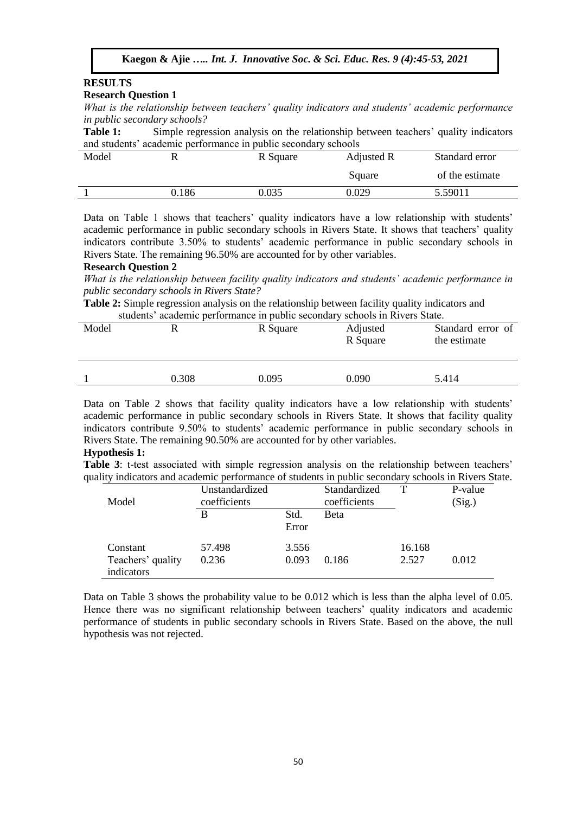# **RESULTS**

#### **Research Question 1**

*What is the relationship between teachers' quality indicators and students' academic performance in public secondary schools?*

Table 1: Simple regression analysis on the relationship between teachers' quality indicators and students' academic performance in public secondary schools

| Model | R     | R Square | Adjusted R | Standard error  |
|-------|-------|----------|------------|-----------------|
|       |       |          | Square     | of the estimate |
|       | 0.186 | 0.035    | 0.029      | 5.59011         |

Data on Table 1 shows that teachers' quality indicators have a low relationship with students' academic performance in public secondary schools in Rivers State. It shows that teachers' quality indicators contribute 3.50% to students' academic performance in public secondary schools in Rivers State. The remaining 96.50% are accounted for by other variables.

#### **Research Question 2**

*What is the relationship between facility quality indicators and students' academic performance in public secondary schools in Rivers State?*

**Table 2:** Simple regression analysis on the relationship between facility quality indicators and students' academic performance in public secondary schools in Rivers State.

| Model |       | R Square | Adjusted<br>R Square | Standard error of<br>the estimate |
|-------|-------|----------|----------------------|-----------------------------------|
|       | 0.308 | 0.095    | 0.090                | 5.414                             |

Data on Table 2 shows that facility quality indicators have a low relationship with students' academic performance in public secondary schools in Rivers State. It shows that facility quality indicators contribute 9.50% to students' academic performance in public secondary schools in Rivers State. The remaining 90.50% are accounted for by other variables.

#### **Hypothesis 1:**

**Table 3**: t-test associated with simple regression analysis on the relationship between teachers' quality indicators and academic performance of students in public secondary schools in Rivers State.

|                   | Unstandardized |               | Standardized |        | P-value |
|-------------------|----------------|---------------|--------------|--------|---------|
| Model             | coefficients   |               | coefficients |        | (Sig.)  |
|                   | B              | Std.<br>Error | <b>Beta</b>  |        |         |
| Constant          | 57.498         | 3.556         |              | 16.168 |         |
| Teachers' quality | 0.236          | 0.093         | 0.186        | 2.527  | 0.012   |
| indicators        |                |               |              |        |         |

Data on Table 3 shows the probability value to be 0.012 which is less than the alpha level of 0.05. Hence there was no significant relationship between teachers' quality indicators and academic performance of students in public secondary schools in Rivers State. Based on the above, the null hypothesis was not rejected.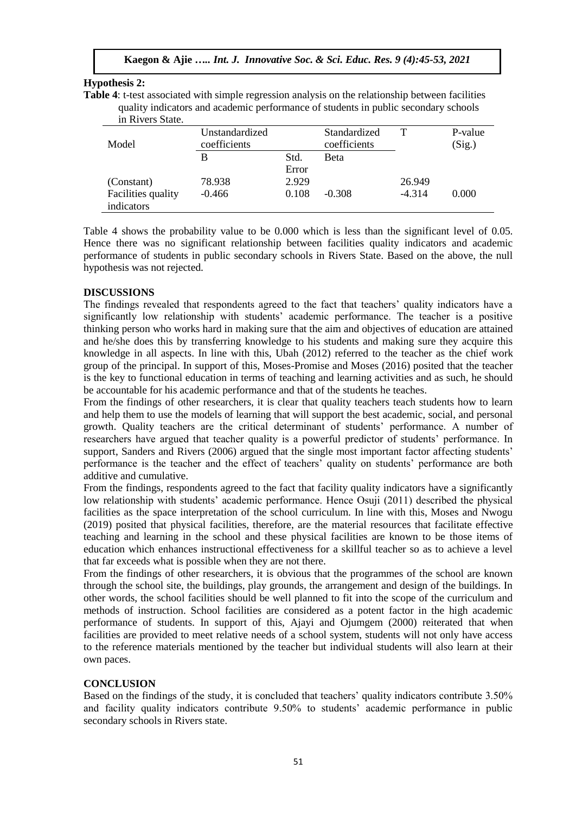## **Hypothesis 2:**

**Table 4**: t-test associated with simple regression analysis on the relationship between facilities quality indicators and academic performance of students in public secondary schools in Rivers State.

| III KIVEIS State.  |                |       |              |          |         |
|--------------------|----------------|-------|--------------|----------|---------|
|                    | Unstandardized |       | Standardized | т        | P-value |
| Model              | coefficients   |       | coefficients |          | (Sig.)  |
|                    | В              | Std.  | <b>Beta</b>  |          |         |
|                    |                | Error |              |          |         |
| (Constant)         | 78.938         | 2.929 |              | 26.949   |         |
| Facilities quality | $-0.466$       | 0.108 | $-0.308$     | $-4.314$ | 0.000   |
| indicators         |                |       |              |          |         |

Table 4 shows the probability value to be 0.000 which is less than the significant level of 0.05. Hence there was no significant relationship between facilities quality indicators and academic performance of students in public secondary schools in Rivers State. Based on the above, the null hypothesis was not rejected.

### **DISCUSSIONS**

The findings revealed that respondents agreed to the fact that teachers' quality indicators have a significantly low relationship with students' academic performance. The teacher is a positive thinking person who works hard in making sure that the aim and objectives of education are attained and he/she does this by transferring knowledge to his students and making sure they acquire this knowledge in all aspects. In line with this, Ubah (2012) referred to the teacher as the chief work group of the principal. In support of this, Moses-Promise and Moses (2016) posited that the teacher is the key to functional education in terms of teaching and learning activities and as such, he should be accountable for his academic performance and that of the students he teaches.

From the findings of other researchers, it is clear that quality teachers teach students how to learn and help them to use the models of learning that will support the best academic, social, and personal growth. Quality teachers are the critical determinant of students' performance. A number of researchers have argued that teacher quality is a powerful predictor of students' performance. In support, Sanders and Rivers (2006) argued that the single most important factor affecting students' performance is the teacher and the effect of teachers' quality on students' performance are both additive and cumulative.

From the findings, respondents agreed to the fact that facility quality indicators have a significantly low relationship with students' academic performance. Hence Osuji (2011) described the physical facilities as the space interpretation of the school curriculum. In line with this, Moses and Nwogu (2019) posited that physical facilities, therefore, are the material resources that facilitate effective teaching and learning in the school and these physical facilities are known to be those items of education which enhances instructional effectiveness for a skillful teacher so as to achieve a level that far exceeds what is possible when they are not there.

From the findings of other researchers, it is obvious that the programmes of the school are known through the school site, the buildings, play grounds, the arrangement and design of the buildings. In other words, the school facilities should be well planned to fit into the scope of the curriculum and methods of instruction. School facilities are considered as a potent factor in the high academic performance of students. In support of this, Ajayi and Ojumgem (2000) reiterated that when facilities are provided to meet relative needs of a school system, students will not only have access to the reference materials mentioned by the teacher but individual students will also learn at their own paces.

# **CONCLUSION**

Based on the findings of the study, it is concluded that teachers' quality indicators contribute 3.50% and facility quality indicators contribute 9.50% to students' academic performance in public secondary schools in Rivers state.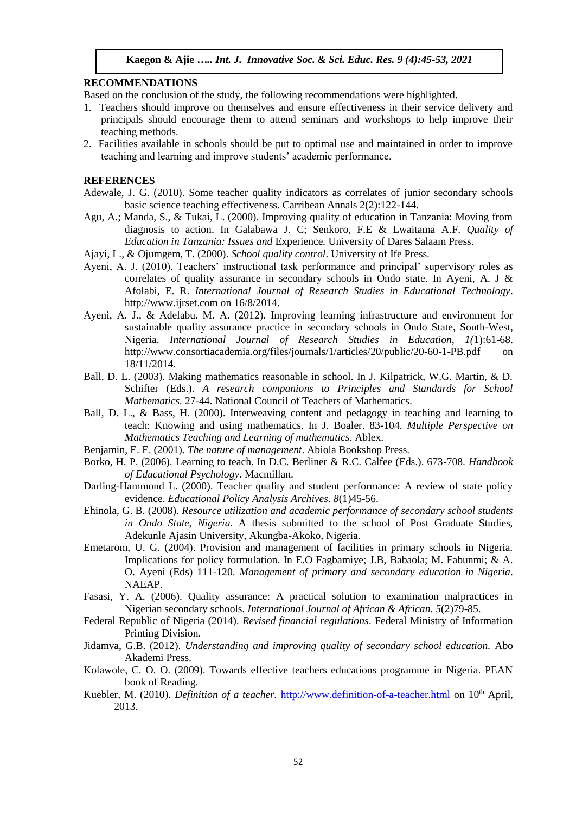#### **RECOMMENDATIONS**

Based on the conclusion of the study, the following recommendations were highlighted.

- 1. Teachers should improve on themselves and ensure effectiveness in their service delivery and principals should encourage them to attend seminars and workshops to help improve their teaching methods.
- 2. Facilities available in schools should be put to optimal use and maintained in order to improve teaching and learning and improve students' academic performance.

#### **REFERENCES**

- Adewale, J. G. (2010). Some teacher quality indicators as correlates of junior secondary schools basic science teaching effectiveness. Carribean Annals 2(2):122-144.
- Agu, A.; Manda, S., & Tukai, L. (2000). Improving quality of education in Tanzania: Moving from diagnosis to action. In Galabawa J. C; Senkoro, F.E & Lwaitama A.F. *Quality of Education in Tanzania: Issues and* Experience*.* University of Dares Salaam Press.
- Ajayi, L., & Ojumgem, T. (2000). *School quality control*. University of Ife Press.
- Ayeni, A. J. (2010). Teachers' instructional task performance and principal' supervisory roles as correlates of quality assurance in secondary schools in Ondo state. In Ayeni, A. J & Afolabi, E. R. *International Journal of Research Studies in Educational Technology*. http://www.ijrset.com on 16/8/2014.
- Ayeni, A. J., & Adelabu. M. A. (2012). Improving learning infrastructure and environment for sustainable quality assurance practice in secondary schools in Ondo State, South-West, Nigeria. *International Journal of Research Studies in Education, 1(*1):61-68. http://www.consortiacademia.org/files/journals/1/articles/20/public/20-60-1-PB.pdf on 18/11/2014.
- Ball, D. L. (2003). Making mathematics reasonable in school. In J. Kilpatrick, W.G. Martin, & D. Schifter (Eds.). *A research companions to Principles and Standards for School Mathematics.* 27-44. National Council of Teachers of Mathematics.
- Ball, D. L., & Bass, H. (2000). Interweaving content and pedagogy in teaching and learning to teach: Knowing and using mathematics. In J. Boaler. 83-104. *Multiple Perspective on Mathematics Teaching and Learning of mathematics*. Ablex.
- Benjamin, E. E. (2001). *The nature of management*. Abiola Bookshop Press.
- Borko, H. P. (2006). Learning to teach. In D.C. Berliner & R.C. Calfee (Eds.). 673-708. *Handbook of Educational Psychology*. Macmillan.
- Darling-Hammond L. (2000). Teacher quality and student performance: A review of state policy evidence. *Educational Policy Analysis Archives. 8*(1)45-56.
- Ehinola, G. B. (2008). *Resource utilization and academic performance of secondary school students in Ondo State, Nigeria*. A thesis submitted to the school of Post Graduate Studies, Adekunle Ajasin University, Akungba-Akoko, Nigeria.
- Emetarom, U. G. (2004). Provision and management of facilities in primary schools in Nigeria. Implications for policy formulation. In E.O Fagbamiye; J.B, Babaola; M. Fabunmi; & A. O. Ayeni (Eds) 111-120. *Management of primary and secondary education in Nigeria*. NAEAP.
- Fasasi, Y. A. (2006). Quality assurance: A practical solution to examination malpractices in Nigerian secondary schools. *International Journal of African & African. 5*(2)79-85.
- Federal Republic of Nigeria (2014). *Revised financial regulations*. Federal Ministry of Information Printing Division.
- Jidamva, G.B. (2012). *Understanding and improving quality of secondary school education.* Abo Akademi Press.
- Kolawole, C. O. O. (2009). Towards effective teachers educations programme in Nigeria. PEAN book of Reading.
- Kuebler, M. (2010). *Definition of a teacher.* [http://www.definition-of-a-teacher.html](http://www.definition-of-a-teacher.html/) on 10<sup>th</sup> April, 2013.